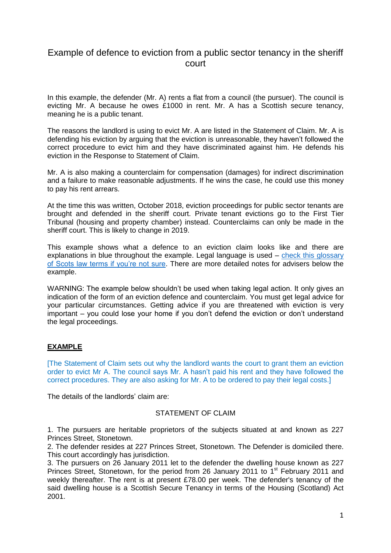# Example of defence to eviction from a public sector tenancy in the sheriff court

In this example, the defender (Mr. A) rents a flat from a council (the pursuer). The council is evicting Mr. A because he owes £1000 in rent. Mr. A has a Scottish secure tenancy, meaning he is a public tenant.

The reasons the landlord is using to evict Mr. A are listed in the Statement of Claim. Mr. A is defending his eviction by arguing that the eviction is unreasonable, they haven't followed the correct procedure to evict him and they have discriminated against him. He defends his eviction in the Response to Statement of Claim.

Mr. A is also making a counterclaim for compensation (damages) for indirect discrimination and a failure to make reasonable adjustments. If he wins the case, he could use this money to pay his rent arrears.

At the time this was written, October 2018, eviction proceedings for public sector tenants are brought and defended in the sheriff court. Private tenant evictions go to the First Tier Tribunal (housing and property chamber) instead. Counterclaims can only be made in the sheriff court. This is likely to change in 2019.

This example shows what a defence to an eviction claim looks like and there are explanations in blue throughout the example. Legal language is used – [check this glossary](http://www.scotland-judiciary.org.uk/29/0/Glossary/a#P)  [of Scots law terms if you're not sure.](http://www.scotland-judiciary.org.uk/29/0/Glossary/a#P) There are more detailed notes for advisers below the example.

WARNING: The example below shouldn't be used when taking legal action. It only gives an indication of the form of an eviction defence and counterclaim. You must get legal advice for your particular circumstances. Getting advice if you are threatened with eviction is very important – you could lose your home if you don't defend the eviction or don't understand the legal proceedings.

## **EXAMPLE**

[The Statement of Claim sets out why the landlord wants the court to grant them an eviction order to evict Mr A. The council says Mr. A hasn't paid his rent and they have followed the correct procedures. They are also asking for Mr. A to be ordered to pay their legal costs.]

The details of the landlords' claim are:

### STATEMENT OF CLAIM

1. The pursuers are heritable proprietors of the subjects situated at and known as 227 Princes Street, Stonetown.

2. The defender resides at 227 Princes Street, Stonetown. The Defender is domiciled there. This court accordingly has jurisdiction.

3. The pursuers on 26 January 2011 let to the defender the dwelling house known as 227 Princes Street, Stonetown, for the period from 26 January 2011 to 1<sup>st</sup> February 2011 and weekly thereafter. The rent is at present £78.00 per week. The defender's tenancy of the said dwelling house is a Scottish Secure Tenancy in terms of the Housing (Scotland) Act 2001.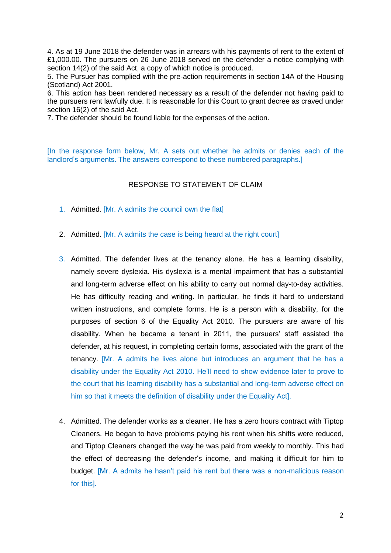4. As at 19 June 2018 the defender was in arrears with his payments of rent to the extent of £1,000.00. The pursuers on 26 June 2018 served on the defender a notice complying with section 14(2) of the said Act, a copy of which notice is produced.

5. The Pursuer has complied with the pre-action requirements in section 14A of the Housing (Scotland) Act 2001.

6. This action has been rendered necessary as a result of the defender not having paid to the pursuers rent lawfully due. It is reasonable for this Court to grant decree as craved under section 16(2) of the said Act.

7. The defender should be found liable for the expenses of the action.

[In the response form below, Mr. A sets out whether he admits or denies each of the landlord's arguments. The answers correspond to these numbered paragraphs.]

#### RESPONSE TO STATEMENT OF CLAIM

- 1. Admitted. [Mr. A admits the council own the flat]
- 2. Admitted. [Mr. A admits the case is being heard at the right court]
- 3. Admitted. The defender lives at the tenancy alone. He has a learning disability, namely severe dyslexia. His dyslexia is a mental impairment that has a substantial and long-term adverse effect on his ability to carry out normal day-to-day activities. He has difficulty reading and writing. In particular, he finds it hard to understand written instructions, and complete forms. He is a person with a disability, for the purposes of section 6 of the Equality Act 2010. The pursuers are aware of his disability. When he became a tenant in 2011, the pursuers' staff assisted the defender, at his request, in completing certain forms, associated with the grant of the tenancy. [Mr. A admits he lives alone but introduces an argument that he has a disability under the Equality Act 2010. He'll need to show evidence later to prove to the court that his learning disability has a substantial and long-term adverse effect on him so that it meets the definition of disability under the Equality Act].
- 4. Admitted. The defender works as a cleaner. He has a zero hours contract with Tiptop Cleaners. He began to have problems paying his rent when his shifts were reduced, and Tiptop Cleaners changed the way he was paid from weekly to monthly. This had the effect of decreasing the defender's income, and making it difficult for him to budget. [Mr. A admits he hasn't paid his rent but there was a non-malicious reason for this].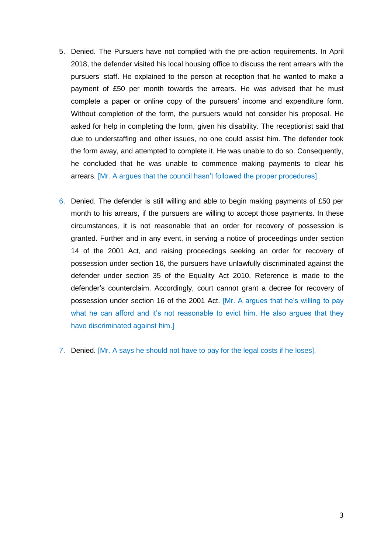- 5. Denied. The Pursuers have not complied with the pre-action requirements. In April 2018, the defender visited his local housing office to discuss the rent arrears with the pursuers' staff. He explained to the person at reception that he wanted to make a payment of £50 per month towards the arrears. He was advised that he must complete a paper or online copy of the pursuers' income and expenditure form. Without completion of the form, the pursuers would not consider his proposal. He asked for help in completing the form, given his disability. The receptionist said that due to understaffing and other issues, no one could assist him. The defender took the form away, and attempted to complete it. He was unable to do so. Consequently, he concluded that he was unable to commence making payments to clear his arrears. [Mr. A argues that the council hasn't followed the proper procedures].
- 6. Denied. The defender is still willing and able to begin making payments of £50 per month to his arrears, if the pursuers are willing to accept those payments. In these circumstances, it is not reasonable that an order for recovery of possession is granted. Further and in any event, in serving a notice of proceedings under section 14 of the 2001 Act, and raising proceedings seeking an order for recovery of possession under section 16, the pursuers have unlawfully discriminated against the defender under section 35 of the Equality Act 2010. Reference is made to the defender's counterclaim. Accordingly, court cannot grant a decree for recovery of possession under section 16 of the 2001 Act. [Mr. A argues that he's willing to pay what he can afford and it's not reasonable to evict him. He also argues that they have discriminated against him.]
- 7. Denied. [Mr. A says he should not have to pay for the legal costs if he loses].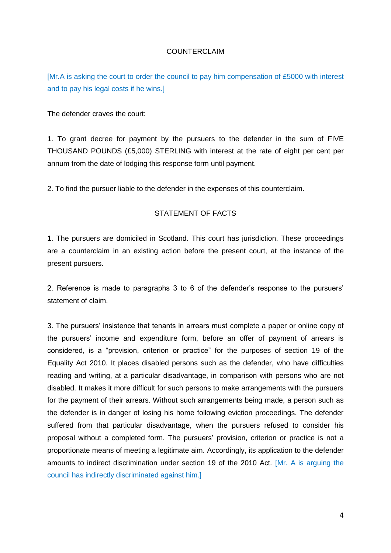#### COUNTERCLAIM

[Mr.A is asking the court to order the council to pay him compensation of £5000 with interest and to pay his legal costs if he wins.]

The defender craves the court:

1. To grant decree for payment by the pursuers to the defender in the sum of FIVE THOUSAND POUNDS (£5,000) STERLING with interest at the rate of eight per cent per annum from the date of lodging this response form until payment.

2. To find the pursuer liable to the defender in the expenses of this counterclaim.

### STATEMENT OF FACTS

1. The pursuers are domiciled in Scotland. This court has jurisdiction. These proceedings are a counterclaim in an existing action before the present court, at the instance of the present pursuers.

2. Reference is made to paragraphs 3 to 6 of the defender's response to the pursuers' statement of claim.

3. The pursuers' insistence that tenants in arrears must complete a paper or online copy of the pursuers' income and expenditure form, before an offer of payment of arrears is considered, is a "provision, criterion or practice" for the purposes of section 19 of the Equality Act 2010. It places disabled persons such as the defender, who have difficulties reading and writing, at a particular disadvantage, in comparison with persons who are not disabled. It makes it more difficult for such persons to make arrangements with the pursuers for the payment of their arrears. Without such arrangements being made, a person such as the defender is in danger of losing his home following eviction proceedings. The defender suffered from that particular disadvantage, when the pursuers refused to consider his proposal without a completed form. The pursuers' provision, criterion or practice is not a proportionate means of meeting a legitimate aim. Accordingly, its application to the defender amounts to indirect discrimination under section 19 of the 2010 Act. [Mr. A is arguing the council has indirectly discriminated against him.]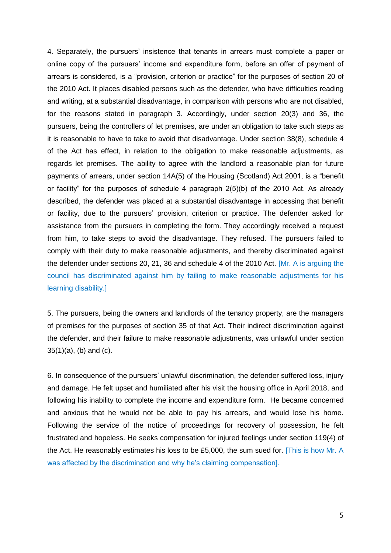4. Separately, the pursuers' insistence that tenants in arrears must complete a paper or online copy of the pursuers' income and expenditure form, before an offer of payment of arrears is considered, is a "provision, criterion or practice" for the purposes of section 20 of the 2010 Act. It places disabled persons such as the defender, who have difficulties reading and writing, at a substantial disadvantage, in comparison with persons who are not disabled, for the reasons stated in paragraph 3. Accordingly, under section 20(3) and 36, the pursuers, being the controllers of let premises, are under an obligation to take such steps as it is reasonable to have to take to avoid that disadvantage. Under section 38(8), schedule 4 of the Act has effect, in relation to the obligation to make reasonable adjustments, as regards let premises. The ability to agree with the landlord a reasonable plan for future payments of arrears, under section 14A(5) of the Housing (Scotland) Act 2001, is a "benefit or facility" for the purposes of schedule 4 paragraph 2(5)(b) of the 2010 Act. As already described, the defender was placed at a substantial disadvantage in accessing that benefit or facility, due to the pursuers' provision, criterion or practice. The defender asked for assistance from the pursuers in completing the form. They accordingly received a request from him, to take steps to avoid the disadvantage. They refused. The pursuers failed to comply with their duty to make reasonable adjustments, and thereby discriminated against the defender under sections 20, 21, 36 and schedule 4 of the 2010 Act. [Mr. A is arguing the council has discriminated against him by failing to make reasonable adjustments for his learning disability.]

5. The pursuers, being the owners and landlords of the tenancy property, are the managers of premises for the purposes of section 35 of that Act. Their indirect discrimination against the defender, and their failure to make reasonable adjustments, was unlawful under section 35(1)(a), (b) and (c).

6. In consequence of the pursuers' unlawful discrimination, the defender suffered loss, injury and damage. He felt upset and humiliated after his visit the housing office in April 2018, and following his inability to complete the income and expenditure form. He became concerned and anxious that he would not be able to pay his arrears, and would lose his home. Following the service of the notice of proceedings for recovery of possession, he felt frustrated and hopeless. He seeks compensation for injured feelings under section 119(4) of the Act. He reasonably estimates his loss to be £5,000, the sum sued for. [This is how Mr. A was affected by the discrimination and why he's claiming compensation].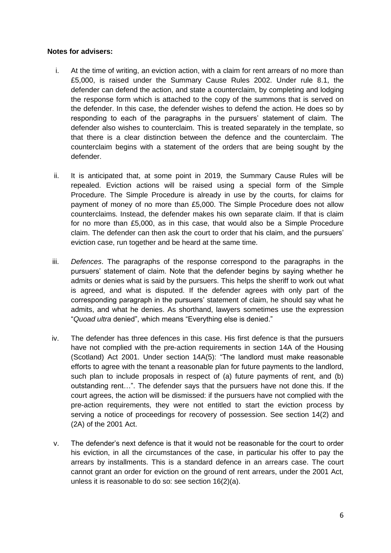#### **Notes for advisers:**

- i. At the time of writing, an eviction action, with a claim for rent arrears of no more than £5,000, is raised under the Summary Cause Rules 2002. Under rule 8.1, the defender can defend the action, and state a counterclaim, by completing and lodging the response form which is attached to the copy of the summons that is served on the defender. In this case, the defender wishes to defend the action. He does so by responding to each of the paragraphs in the pursuers' statement of claim. The defender also wishes to counterclaim. This is treated separately in the template, so that there is a clear distinction between the defence and the counterclaim. The counterclaim begins with a statement of the orders that are being sought by the defender.
- ii. It is anticipated that, at some point in 2019, the Summary Cause Rules will be repealed. Eviction actions will be raised using a special form of the Simple Procedure. The Simple Procedure is already in use by the courts, for claims for payment of money of no more than £5,000. The Simple Procedure does not allow counterclaims. Instead, the defender makes his own separate claim. If that is claim for no more than £5,000, as in this case, that would also be a Simple Procedure claim. The defender can then ask the court to order that his claim, and the pursuers' eviction case, run together and be heard at the same time.
- iii. *Defences*. The paragraphs of the response correspond to the paragraphs in the pursuers' statement of claim. Note that the defender begins by saying whether he admits or denies what is said by the pursuers. This helps the sheriff to work out what is agreed, and what is disputed. If the defender agrees with only part of the corresponding paragraph in the pursuers' statement of claim, he should say what he admits, and what he denies. As shorthand, lawyers sometimes use the expression "*Quoad ultra* denied", which means "Everything else is denied."
- iv. The defender has three defences in this case. His first defence is that the pursuers have not complied with the pre-action requirements in section 14A of the Housing (Scotland) Act 2001. Under section 14A(5): "The landlord must make reasonable efforts to agree with the tenant a reasonable plan for future payments to the landlord, such plan to include proposals in respect of (a) future payments of rent, and (b) outstanding rent…". The defender says that the pursuers have not done this. If the court agrees, the action will be dismissed: if the pursuers have not complied with the pre-action requirements, they were not entitled to start the eviction process by serving a notice of proceedings for recovery of possession. See section 14(2) and (2A) of the 2001 Act.
- v. The defender's next defence is that it would not be reasonable for the court to order his eviction, in all the circumstances of the case, in particular his offer to pay the arrears by installments. This is a standard defence in an arrears case. The court cannot grant an order for eviction on the ground of rent arrears, under the 2001 Act, unless it is reasonable to do so: see section 16(2)(a).